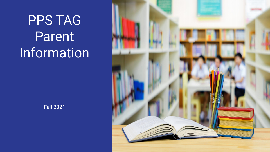PPS TAG Parent **Information** 



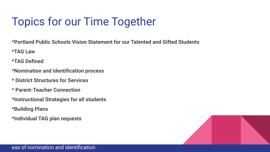### Topics for our Time Together

**\*Portland Public Schools Vision Statement for our Talented and Gifted Students**

**\*TAG Law**

**\*TAG Defined**

- **\*Nomination and identification process**
- **\* District Structures for Services**
- **\* Parent-Teacher Connection**
- **\*Instructional Strategies for all students**
- **\*Building Plans**
- **\*Individual TAG plan requests**

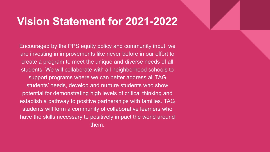#### **Vision Statement for 2021-2022**

Encouraged by the PPS equity policy and community input, we are investing in improvements like never before in our effort to create a program to meet the unique and diverse needs of all students. We will collaborate with all neighborhood schools to support programs where we can better address all TAG students' needs, develop and nurture students who show potential for demonstrating high levels of critical thinking and establish a pathway to positive partnerships with families. TAG students will form a community of collaborative learners who have the skills necessary to positively impact the world around them.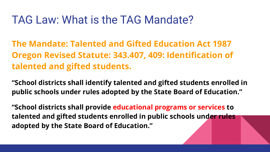#### TAG Law: What is the TAG Mandate?

**The Mandate: Talented and Gifted Education Act 1987 Oregon Revised Statute: 343.407, 409: Identification of talented and gifted students.**

**"School districts shall identify talented and gifted students enrolled in public schools under rules adopted by the State Board of Education."**

**"School districts shall provide educational programs or services to talented and gifted students enrolled in public schools under rules adopted by the State Board of Education."**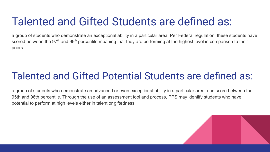### Talented and Gifted Students are defined as:

a group of students who demonstrate an exceptional ability in a particular area. Per Federal regulation, these students have scored between the 97<sup>th</sup> and 99<sup>th</sup> percentile meaning that they are performing at the highest level in comparison to their peers.

#### Talented and Gifted Potential Students are defined as:

a group of students who demonstrate an advanced or even exceptional ability in a particular area, and score between the 95th and 96th percentile. Through the use of an assessment tool and process, PPS may identify students who have potential to perform at high levels either in talent or giftedness.

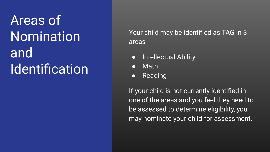### Areas of Nomination and **Identification**

Your child may be identified as TAG in 3 areas

- Intellectual Ability
- **Math**
- Reading

If your child is not currently identified in one of the areas and you feel they need to be assessed to determine eligibility, you may nominate your child for assessment.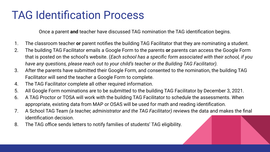### TAG Identification Process

Once a parent **and** teacher have discussed TAG nomination the TAG identification begins.

- 1. The classroom teacher **or** parent notifies the building TAG Facilitator that they are nominating a student.
- 2. The building TAG Facilitator emails a Google Form to the parents **or** parents can access the Google Form that is posted on the school's website. (*Each school has a specific form associated with their school, if you have any questions, please reach out to your child's teacher or the Building TAG Facilitator).*
- 3. After the parents have submitted their Google Form, and consented to the nomination, the building TAG Facilitator will send the teacher a Google Form to complete.
- 4. The TAG Facilitator complete all other required information.
- 5. All Google Form nominations are to be submitted to the building TAG Facilitator by December 3, 2021.
- 6. A TAG Proctor or TOSA will work with the building TAG Facilitator to schedule the assessments. When appropriate, existing data from MAP or OSAS will be used for math and reading identification.
- 7. A School TAG Team *(a teacher, administrator and the TAG Facilitator)* reviews the data and makes the final identification decision.
- 8. The TAG office sends letters to notify families of students' TAG eligibility.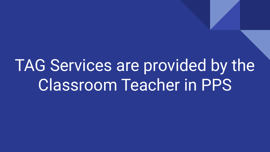TAG Services are provided by the Classroom Teacher in PPS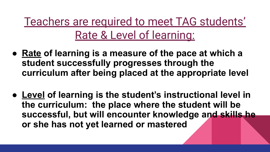Teachers are required to meet TAG students' Rate & Level of learning:

- **● Rate of learning is a measure of the pace at which a student successfully progresses through the curriculum after being placed at the appropriate level**
- **● Level of learning is the student's instructional level in the curriculum: the place where the student will be successful, but will encounter knowledge and skills he or she has not yet learned or mastered**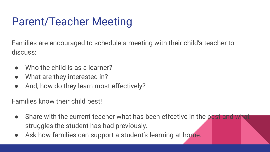### Parent/Teacher Meeting

Families are encouraged to schedule a meeting with their child's teacher to discuss:

- $\bullet$  Who the child is as a learner?
- What are they interested in?
- And, how do they learn most effectively?

Families know their child best!

- Share with the current teacher what has been effective in the past and what struggles the student has had previously.
- Ask how families can support a student's learning at home.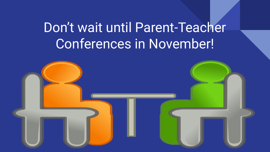### Don't wait until Parent-Teacher Conferences in November!

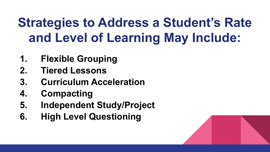### **Strategies to Address a Student's Rate and Level of Learning May Include:**

- **1. Flexible Grouping**
- **2. Tiered Lessons**
- **3. Curriculum Acceleration**
- **4. Compacting**
- **5. Independent Study/Project**
- **6. High Level Questioning**

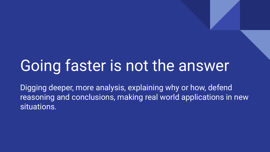## Going faster is not the answer

Digging deeper, more analysis, explaining why or how, defend reasoning and conclusions, making real world applications in new situations.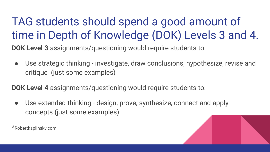TAG students should spend a good amount of time in Depth of Knowledge (DOK) Levels 3 and 4.

**DOK Level 3** assignments/questioning would require students to:

● Use strategic thinking - investigate, draw conclusions, hypothesize, revise and critique (just some examples)

**DOK Level 4** assignments/questioning would require students to:

• Use extended thinking - design, prove, synthesize, connect and apply concepts (just some examples)

\*Robertkaplinsky.com

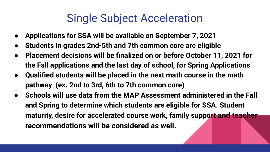### Single Subject Acceleration

- **● Applications for SSA will be available on September 7, 2021**
- **● Students in grades 2nd-5th and 7th common core are eligible**
- **● Placement decisions will be finalized on or before October 11, 2021 for the Fall applications and the last day of school, for Spring Applications**
- **● Qualified students will be placed in the next math course in the math pathway (ex. 2nd to 3rd, 6th to 7th common core)**
- **● Schools will use data from the MAP Assessment administered in the Fall and Spring to determine which students are eligible for SSA. Student maturity, desire for accelerated course work, family support and teacher recommendations will be considered as well.**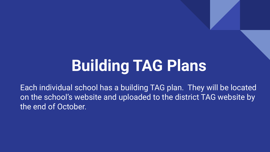# **Building TAG Plans**

Each individual school has a building TAG plan. They will be located on the school's website and uploaded to the district TAG website by the end of October.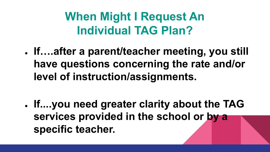### **When Might I Request An Individual TAG Plan?**

**● If….after a parent/teacher meeting, you still have questions concerning the rate and/or level of instruction/assignments.**

**● If....you need greater clarity about the TAG services provided in the school or by a specific teacher.**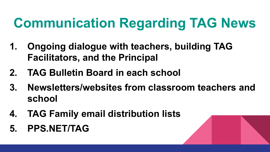### **Communication Regarding TAG News**

- **1. Ongoing dialogue with teachers, building TAG Facilitators, and the Principal**
- **2. TAG Bulletin Board in each school**
- **3. Newsletters/websites from classroom teachers and school**
- **4. TAG Family email distribution lists**
- **5. PPS.NET/TAG**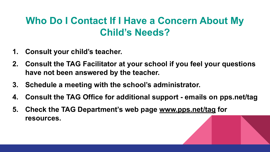#### **Who Do I Contact If I Have a Concern About My Child's Needs?**

- **1. Consult your child's teacher.**
- **2. Consult the TAG Facilitator at your school if you feel your questions have not been answered by the teacher.**
- **3. Schedule a meeting with the school's administrator.**
- **4. Consult the TAG Office for additional support emails on pps.net/tag**
- **5. Check the TAG Department's web page [www.pps.net/tag](http://www.pps.net/tag) for resources.**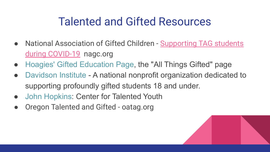### Talented and Gifted Resources

- National Association of Gifted Children [Supporting TAG students](https://www.nagc.org/sites/default/files/Publication%20PHP/NAGC_TIP-Sheet_COVID-19_With%20Strategies%20by%20Development%20Level_April%202020.pdf) [during COVID-19](https://www.nagc.org/sites/default/files/Publication%20PHP/NAGC_TIP-Sheet_COVID-19_With%20Strategies%20by%20Development%20Level_April%202020.pdf) nagc.org
- [Hoagies' Gifted Education Page](http://www.hoagiesgifted.org/), the "All Things Gifted" page
- [Davidson Institute](http://www.davidsongifted.org/) A national nonprofit organization dedicated to supporting profoundly gifted students 18 and under.
- [John Hopkins](http://cty.jhu.edu/): Center for Talented Youth
- Oregon Talented and Gifted oatag.org